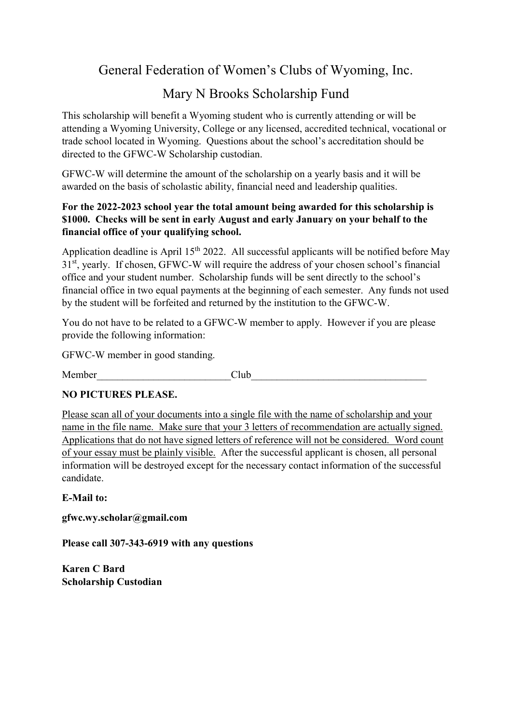## General Federation of Women's Clubs of Wyoming, Inc.

# Mary N Brooks Scholarship Fund

This scholarship will benefit a Wyoming student who is currently attending or will be attending a Wyoming University, College or any licensed, accredited technical, vocational or trade school located in Wyoming. Questions about the school's accreditation should be directed to the GFWC-W Scholarship custodian.

GFWC-W will determine the amount of the scholarship on a yearly basis and it will be awarded on the basis of scholastic ability, financial need and leadership qualities.

### For the 2022-2023 school year the total amount being awarded for this scholarship is \$1000. Checks will be sent in early August and early January on your behalf to the financial office of your qualifying school.

Application deadline is April 15<sup>th</sup> 2022. All successful applicants will be notified before May 31st, yearly. If chosen, GFWC-W will require the address of your chosen school's financial office and your student number. Scholarship funds will be sent directly to the school's financial office in two equal payments at the beginning of each semester. Any funds not used by the student will be forfeited and returned by the institution to the GFWC-W.

You do not have to be related to a GFWC-W member to apply. However if you are please provide the following information:

GFWC-W member in good standing.

Member Club

### NO PICTURES PLEASE.

Please scan all of your documents into a single file with the name of scholarship and your name in the file name. Make sure that your 3 letters of recommendation are actually signed. Applications that do not have signed letters of reference will not be considered. Word count of your essay must be plainly visible. After the successful applicant is chosen, all personal information will be destroyed except for the necessary contact information of the successful candidate.

E-Mail to:

gfwc.wy.scholar@gmail.com

Please call 307-343-6919 with any questions

Karen C Bard Scholarship Custodian